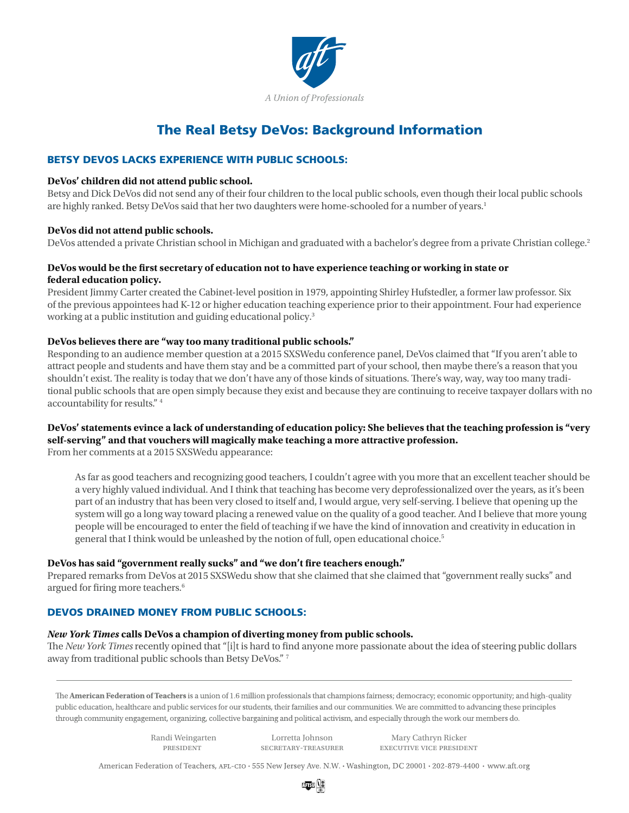

# The Real Betsy DeVos: Background Information

## BETSY DEVOS LACKS EXPERIENCE WITH PUBLIC SCHOOLS:

#### **DeVos' children did not attend public school.**

Betsy and Dick DeVos did not send any of their four children to the local public schools, even though their local public schools are highly ranked. Betsy DeVos said that her two daughters were home-schooled for a number of years[.1](#page-3-0)

#### **DeVos did not attend public schools.**

DeVos attended a private Christian school in Michigan and graduated with a bachelor's degree from a private Christian college.<sup>[2](#page-3-1)</sup>

## **DeVos would be the first secretary of education not to have experience teaching or working in state or federal education policy.**

President Jimmy Carter created the Cabinet-level position in 1979, appointing Shirley Hufstedler, a former law professor. Six of the previous appointees had K-12 or higher education teaching experience prior to their appointment. Four had experience working at a public institution and guiding educational policy.<sup>[3](#page-3-2)</sup>

#### **DeVos believes there are "way too many traditional public schools."**

Responding to an audience member question at a 2015 SXSWedu conference panel, DeVos claimed that "If you aren't able to attract people and students and have them stay and be a committed part of your school, then maybe there's a reason that you shouldn't exist. The reality is today that we don't have any of those kinds of situations. There's way, way, way too many traditional public schools that are open simply because they exist and because they are continuing to receive taxpayer dollars with no accountability for results." [4](#page-3-3)

## **DeVos' statements evince a lack of understanding of education policy: She believes that the teaching profession is "very self-serving" and that vouchers will magically make teaching a more attractive profession.**

From her comments at a 2015 SXSWedu appearance:

As far as good teachers and recognizing good teachers, I couldn't agree with you more that an excellent teacher should be a very highly valued individual. And I think that teaching has become very deprofessionalized over the years, as it's been part of an industry that has been very closed to itself and, I would argue, very self-serving. I believe that opening up the system will go a long way toward placing a renewed value on the quality of a good teacher. And I believe that more young people will be encouraged to enter the field of teaching if we have the kind of innovation and creativity in education in general that I think would be unleashed by the notion of full, open educational choice.[5](#page-3-4)

#### **DeVos has said "government really sucks" and "we don't fire teachers enough."**

Prepared remarks from DeVos at 2015 SXSWedu show that she claimed that she claimed that "government really sucks" and argued for firing more teachers.<sup>[6](#page-3-5)</sup>

## DEVOS DRAINED MONEY FROM PUBLIC SCHOOLS:

#### *New York Times* **calls DeVos a champion of diverting money from public schools.**

The *New York Times* recently opined that "[i]t is hard to find anyone more passionate about the idea of steering public dollars away from traditional public schools than Betsy DeVos." [7](#page-3-6)

The American Federation of Teachers is a union of 1.6 million professionals that champions fairness; democracy; economic opportunity; and high-quality public education, healthcare and public services for our students, their families and our communities. We are committed to advancing these principles through community engagement, organizing, collective bargaining and political activism, and especially through the work our members do.

president secretary-treasurer executive vice president Randi Weingarten Lorretta Johnson Mary Cathryn Ricker

American Federation of Teachers, AFL-CIO · 555 New Jersey Ave. N.W. · Washington, DC 20001 · 202-879-4400 · www.aft.org

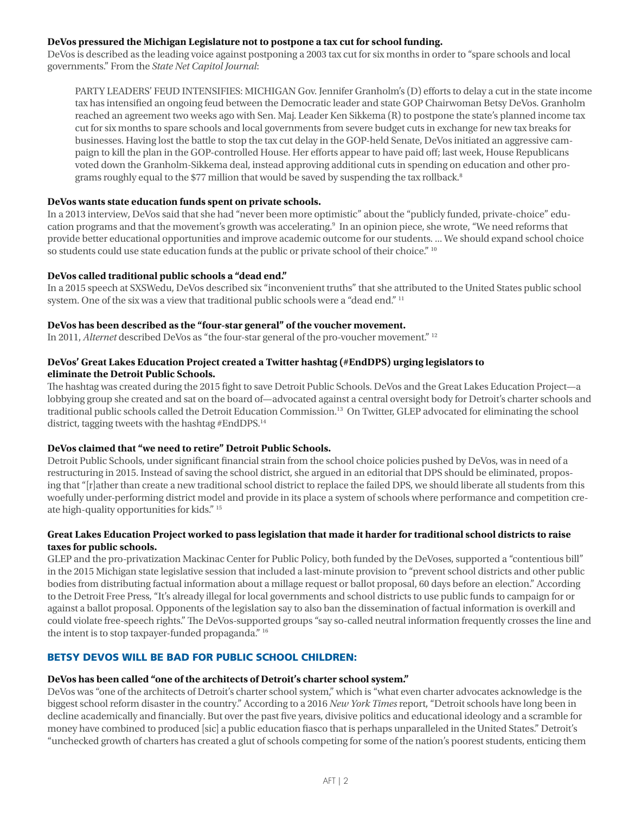## **DeVos pressured the Michigan Legislature not to postpone a tax cut for school funding.**

DeVos is described as the leading voice against postponing a 2003 tax cut for six months in order to "spare schools and local governments." From the *State Net Capitol Journal*:

PARTY LEADERS' FEUD INTENSIFIES: MICHIGAN Gov. Jennifer Granholm's (D) efforts to delay a cut in the state income tax has intensified an ongoing feud between the Democratic leader and state GOP Chairwoman Betsy DeVos. Granholm reached an agreement two weeks ago with Sen. Maj. Leader Ken Sikkema (R) to postpone the state's planned income tax cut for six months to spare schools and local governments from severe budget cuts in exchange for new tax breaks for businesses. Having lost the battle to stop the tax cut delay in the GOP-held Senate, DeVos initiated an aggressive campaign to kill the plan in the GOP-controlled House. Her efforts appear to have paid off; last week, House Republicans voted down the Granholm-Sikkema deal, instead approving additional cuts in spending on education and other programs roughly equal to the \$77 million that would be saved by suspending the tax rollback.<sup>8</sup>

#### **DeVos wants state education funds spent on private schools.**

In a 2013 interview, DeVos said that she had "never been more optimistic" about the "publicly funded, private-choice" education programs and that the movement's growth was accelerating.<sup>9</sup> In an opinion piece, she wrote, "We need reforms that provide better educational opportunities and improve academic outcome for our students. ... We should expand school choice so students could use state education funds at the public or private school of their choice." [10](#page-3-9)

## **DeVos called traditional public schools a "dead end."**

In a 2015 speech at SXSWedu, DeVos described six "inconvenient truths" that she attributed to the United States public school system. One of the six was a view that traditional public schools were a "dead end." <sup>11</sup>

## **DeVos has been described as the "four-star general" of the voucher movement.**

In 2011, *Alternet* described DeVos as "the four-star general of the pro-voucher movement." [12](#page-3-11)

## **DeVos' Great Lakes Education Project created a Twitter hashtag (#EndDPS) urging legislators to eliminate the Detroit Public Schools.**

The hashtag was created during the 2015 fight to save Detroit Public Schools. DeVos and the Great Lakes Education Project—a lobbying group she created and sat on the board of—advocated against a central oversight body for Detroit's charter schools and traditional public schools called the Detroit Education Commission[.13](#page-3-12) On Twitter, GLEP advocated for eliminating the school district, tagging tweets with the hashtag #EndDPS[.14](#page-3-13)

## **DeVos claimed that "we need to retire" Detroit Public Schools.**

Detroit Public Schools, under significant financial strain from the school choice policies pushed by DeVos, was in need of a restructuring in 2015. Instead of saving the school district, she argued in an editorial that DPS should be eliminated, proposing that "[r]ather than create a new traditional school district to replace the failed DPS, we should liberate all students from this woefully under-performing district model and provide in its place a system of schools where performance and competition create high-quality opportunities for kids." [15](#page-4-0)

## **Great Lakes Education Project worked to pass legislation that made it harder for traditional school districts to raise taxes for public schools.**

GLEP and the pro-privatization Mackinac Center for Public Policy, both funded by the DeVoses, supported a "contentious bill" in the 2015 Michigan state legislative session that included a last-minute provision to "prevent school districts and other public bodies from distributing factual information about a millage request or ballot proposal, 60 days before an election." According to the Detroit Free Press, "It's already illegal for local governments and school districts to use public funds to campaign for or against a ballot proposal. Opponents of the legislation say to also ban the dissemination of factual information is overkill and could violate free-speech rights." The DeVos-supported groups "say so-called neutral information frequently crosses the line and the intent is to stop taxpayer-funded propaganda." 16

## BETSY DEVOS WILL BE BAD FOR PUBLIC SCHOOL CHILDREN:

#### **DeVos has been called "one of the architects of Detroit's charter school system."**

DeVos was "one of the architects of Detroit's charter school system," which is "what even charter advocates acknowledge is the biggest school reform disaster in the country." According to a 2016 *New York Times* report, "Detroit schools have long been in decline academically and financially. But over the past five years, divisive politics and educational ideology and a scramble for money have combined to produced [sic] a public education fiasco that is perhaps unparalleled in the United States." Detroit's "unchecked growth of charters has created a glut of schools competing for some of the nation's poorest students, enticing them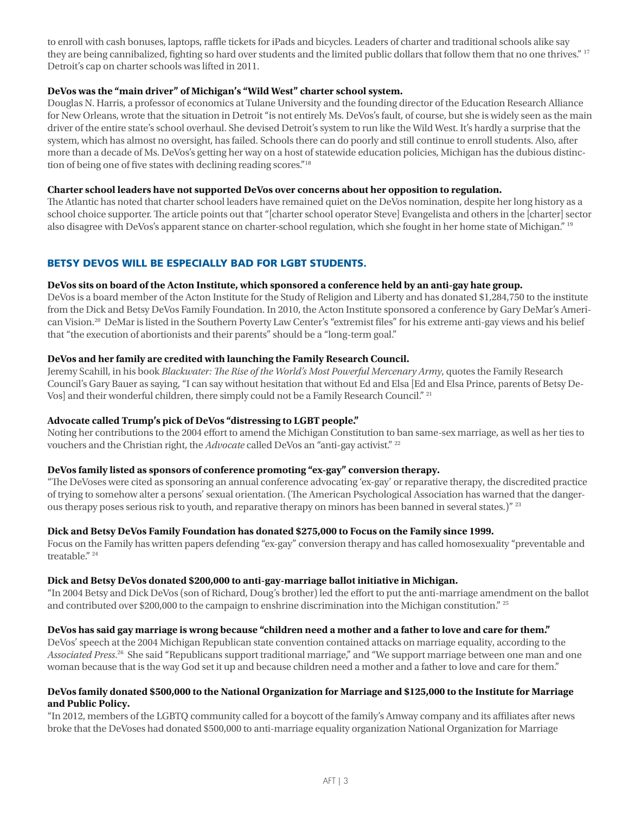to enroll with cash bonuses, laptops, raffle tickets for iPads and bicycles. Leaders of charter and traditional schools alike say they are being cannibalized, fighting so hard over students and the limited public dollars that follow them that no one thrives." <sup>17</sup> Detroit's cap on charter schools was lifted in 2011.

## **DeVos was the "main driver" of Michigan's "Wild West" charter school system.**

Douglas N. Harris, a professor of economics at Tulane University and the founding director of the Education Research Alliance for New Orleans, wrote that the situation in Detroit "is not entirely Ms. DeVos's fault, of course, but she is widely seen as the main driver of the entire state's school overhaul. She devised Detroit's system to run like the Wild West. It's hardly a surprise that the system, which has almost no oversight, has failed. Schools there can do poorly and still continue to enroll students. Also, after more than a decade of Ms. DeVos's getting her way on a host of statewide education policies, Michigan has the dubious distinction of being one of five states with declining reading scores.["18](#page-4-2)

## **Charter school leaders have not supported DeVos over concerns about her opposition to regulation.**

The Atlantic has noted that charter school leaders have remained quiet on the DeVos nomination, despite her long history as a school choice supporter. The article points out that "[charter school operator Steve] Evangelista and others in the [charter] sector also disagree with DeVos's apparent stance on charter-school regulation, which she fought in her home state of Michigan." [19](#page-4-3)

# BETSY DEVOS WILL BE ESPECIALLY BAD FOR LGBT STUDENTS.

## **DeVos sits on board of the Acton Institute, which sponsored a conference held by an anti-gay hate group.**

DeVos is a board member of the Acton Institute for the Study of Religion and Liberty and has donated \$1,284,750 to the institute from the Dick and Betsy DeVos Family Foundation. In 2010, the Acton Institute sponsored a conference by Gary DeMar's American Vision.<sup>20</sup> DeMar is listed in the Southern Poverty Law Center's "extremist files" for his extreme anti-gay views and his belief that "the execution of abortionists and their parents" should be a "long-term goal."

## **DeVos and her family are credited with launching the Family Research Council.**

Jeremy Scahill, in his book *Blackwater: The Rise of the World's Most Powerful Mercenary Army*, quotes the Family Research Council's Gary Bauer as saying, "I can say without hesitation that without Ed and Elsa [Ed and Elsa Prince, parents of Betsy De-Vos] and their wonderful children, there simply could not be a Family Research Council." <sup>21</sup>

## **Advocate called Trump's pick of DeVos "distressing to LGBT people."**

Noting her contributions to the 2004 effort to amend the Michigan Constitution to ban same-sex marriage, as well as her ties to vouchers and the Christian right, the *Advocate* called DeVos an "anti-gay activist." [22](#page-4-6)

#### **DeVos family listed as sponsors of conference promoting "ex-gay" conversion therapy.**

"The DeVoses were cited as sponsoring an annual conference advocating 'ex-gay' or reparative therapy, the discredited practice of trying to somehow alter a persons' sexual orientation. (The American Psychological Association has warned that the danger-ous therapy poses serious risk to youth, and reparative therapy on minors has been banned in several states.)" <sup>[23](#page-4-7)</sup>

#### **Dick and Betsy DeVos Family Foundation has donated \$275,000 to Focus on the Family since 1999.**

Focus on the Family has written papers defending "ex-gay" conversion therapy and has called homosexuality "preventable and treatable." <sup>24</sup>

## **Dick and Betsy DeVos donated \$200,000 to anti-gay-marriage ballot initiative in Michigan.**

"In 2004 Betsy and Dick DeVos (son of Richard, Doug's brother) led the effort to put the anti-marriage amendment on the ballot and contributed over \$200,000 to the campaign to enshrine discrimination into the Michigan constitution." <sup>[25](#page-4-9)</sup>

#### **DeVos has said gay marriage is wrong because "children need a mother and a father to love and care for them."**

DeVos' speech at the 2004 Michigan Republican state convention contained attacks on marriage equality, according to the *Associated Press*. [26](#page-4-10) She said "Republicans support traditional marriage," and "We support marriage between one man and one woman because that is the way God set it up and because children need a mother and a father to love and care for them."

#### **DeVos family donated \$500,000 to the National Organization for Marriage and \$125,000 to the Institute for Marriage and Public Policy.**

"In 2012, members of the LGBTQ community called for a boycott of the family's Amway company and its affiliates after news broke that the DeVoses had donated \$500,000 to anti-marriage equality organization National Organization for Marriage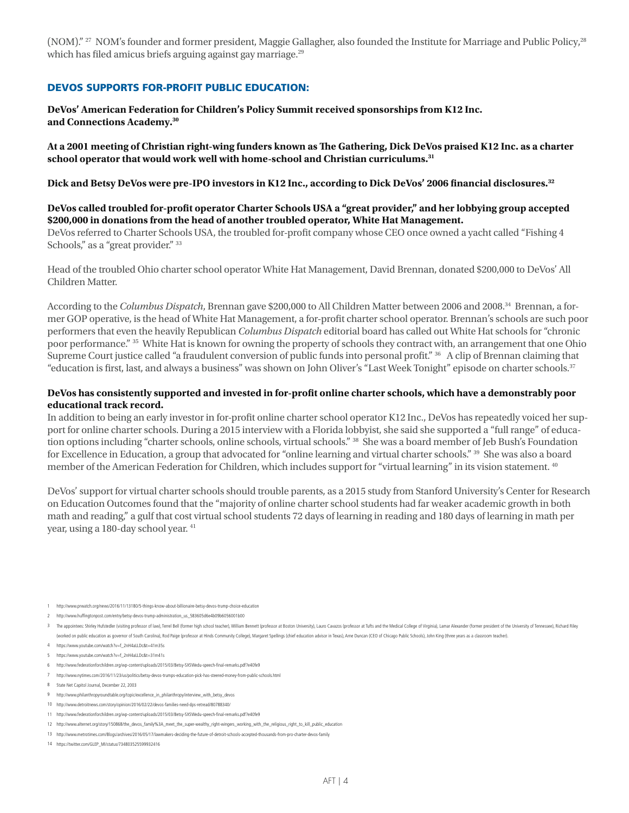(NOM)." <sup>27</sup> NOM's founder and former president, Maggie Gallagher, also founded the Institute for Marriage and Public Policy, <sup>28</sup> which has filed amicus briefs arguing against gay marriage.<sup>29</sup>

## DEVOS SUPPORTS FOR-PROFIT PUBLIC EDUCATION:

**DeVos' American Federation for Children's Policy Summit received sponsorships from K12 Inc. and Connections Academy.[30](#page-4-14)**

**At a 2001 meeting of Christian right-wing funders known as The Gathering, Dick DeVos praised K12 Inc. as a charter school operator that would work well with home-school and Christian curriculums.[31](#page-4-15)** 

**Dick and Betsy DeVos were pre-IPO investors in K12 Inc., according to Dick DeVos' 2006 financial disclosures.[32](#page-4-16)**

#### **DeVos called troubled for-profit operator Charter Schools USA a "great provider," and her lobbying group accepted \$200,000 in donations from the head of another troubled operator, White Hat Management.**

DeVos referred to Charter Schools USA, the troubled for-profit company whose CEO once owned a yacht called "Fishing 4 Schools," as a "great provider." [33](#page-4-17)

Head of the troubled Ohio charter school operator White Hat Management, David Brennan, donated \$200,000 to DeVos' All Children Matter.

According to the *Columbus Dispatch*, Brennan gave \$200,000 to All Children Matter between 2006 and 2008.[34](#page-4-18) Brennan, a former GOP operative, is the head of White Hat Management, a for-profit charter school operator. Brennan's schools are such poor performers that even the heavily Republican *Columbus Dispatch* editorial board has called out White Hat schools for "chronic poor performance." [35](#page-4-19) White Hat is known for owning the property of schools they contract with, an arrangement that one Ohio Supreme Court justice called "a fraudulent conversion of public funds into personal profit." <sup>36</sup> A clip of Brennan claiming that "education is first, last, and always a business" was shown on John Oliver's "Last Week Tonight" episode on charter schools.[37](#page-4-21)

## **DeVos has consistently supported and invested in for-profit online charter schools, which have a demonstrably poor educational track record.**

In addition to being an early investor in for-profit online charter school operator K12 Inc., DeVos has repeatedly voiced her support for online charter schools. During a 2015 interview with a Florida lobbyist, she said she supported a "full range" of education options including "charter schools, online schools, virtual schools." [38](#page-4-22) She was a board member of Jeb Bush's Foundation for Excellence in Education, a group that advocated for "online learning and virtual charter schools." [39](#page-4-23) She was also a board member of the American Federation for Children, which includes support for "virtual learning" in its vision statement. [40](#page-4-24)

DeVos' support for virtual charter schools should trouble parents, as a 2015 study from Stanford University's Center for Research on Education Outcomes found that the "majority of online charter school students had far weaker academic growth in both math and reading," a gulf that cost virtual school students 72 days of learning in reading and 180 days of learning in math per year, using a 180-day school year. [41](#page-4-25) 

<span id="page-3-0"></span>1 http://www.prwatch.org/news/2016/11/13180/5-things-know-about-billionaire-betsy-devos-trump-choice-education

<span id="page-3-1"></span>2 http://www.huffingtonpost.com/entry/betsy-devos-trump-administration\_us\_583605d6e4b09b6056001b00

<span id="page-3-2"></span>3 The appointees: Shirley Hufstedler (visiting professor of law), Terrel Bell (former high school teacher), William Bennett (professor at Boston University), Lauro Cavazos (professor at Tufts and the Medical College of Vir (worked on public education as governor of South Carolina), Rod Paige (professor at Hinds Community College), Margaret Spellings (chief education advisor in Texas), Ame Duncan (CEO of Chicago Public Schools), John King (th

<span id="page-3-3"></span>4 https://www.youtube.com/watch?v=f\_2nH4aLLDc&t=41m35s

<span id="page-3-4"></span>5 https://www.youtube.com/watch?v=f\_2nH4aLLDc&t=31m41s

- <span id="page-3-5"></span>6 http://www.federationforchildren.org/wp-content/uploads/2015/03/Betsy-SXSWedu-speech-final-remarks.pdf?e40fe9
- <span id="page-3-6"></span>7 http://www.nytimes.com/2016/11/23/us/politics/betsy-devos-trumps-education-pick-has-steered-money-from-public-schools.html

<span id="page-3-7"></span>8 State Net Capitol Journal, December 22, 2003

- <span id="page-3-8"></span>9 http://www.philanthropyroundtable.org/topic/excellence\_in\_philanthropy/interview\_with\_betsy\_devos
- <span id="page-3-9"></span>10 http://www.detroitnews.com/story/opinion/2016/02/22/devos-families-need-dps-retread/80788340/
- <span id="page-3-10"></span>11 http://www.federationforchildren.org/wp-content/uploads/2015/03/Betsy-SXSWedu-speech-final-remarks.pdf?e40fe9
- <span id="page-3-11"></span>12 http://www.alternet.org/story/150868/the\_devos\_family%3A\_meet\_the\_super-wealthy\_right-wingers\_working\_with\_the\_religious\_right\_to\_kill\_public\_education
- <span id="page-3-12"></span>13 http://www.metrotimes.com/Blogs/archives/2016/05/17/lawmakers-deciding-the-future-of-detroit-schools-accepted-thousands-from-pro-charter-devos-family

<span id="page-3-13"></span>14 https://twitter.com/GLEP\_MI/status/734803525599932416